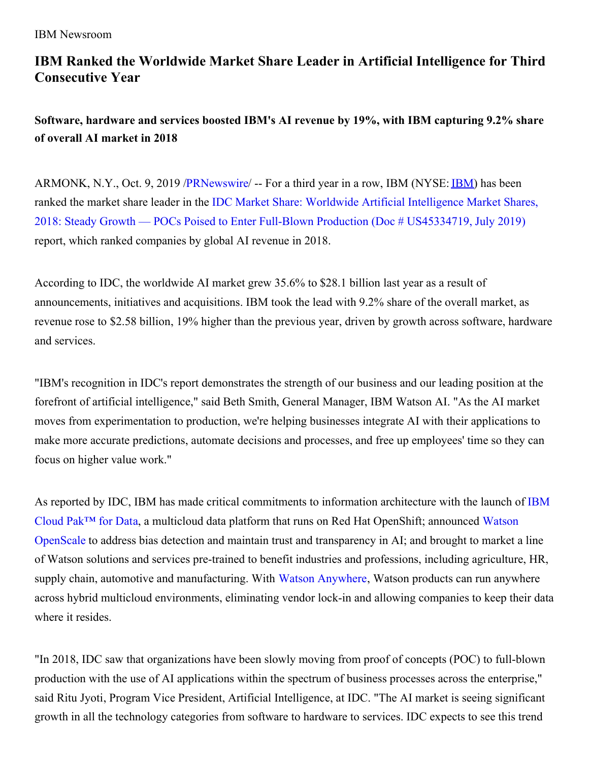## **IBM Ranked the Worldwide Market Share Leader in Artificial Intelligence for Third Consecutive Year**

**Software, hardware and services boosted IBM's AI revenue by 19%, with IBM capturing 9.2% share of overall AI market in 2018**

ARMONK, N.Y., Oct. 9, 2019 [/PRNewswire](http://www.prnewswire.com/)/ -- For a third year in a row, [IBM](https://c212.net/c/link/?t=0&l=en&o=2603284-1&h=3023667829&u=https%3A%2F%2Fc212.net%2Fc%2Flink%2F%3Ft%3D0%26l%3Den%26o%3D2570327-1%26h%3D3653502906%26u%3Dhttp%253A%252F%252Fwww.ibm.com%252Finvestor%26a%3DIBM&a=IBM) (NYSE: **IBM**) has been ranked the market share leader in the IDC Market Share: Worldwide Artificial Intelligence Market Shares, 2018: Steady Growth — POCs Poised to Enter Full-Blown Production (Doc # [US45334719,](https://c212.net/c/link/?t=0&l=en&o=2603284-1&h=842802816&u=https%3A%2F%2Fwww.ibm.com%2Fdownloads%2Fcas%2FMK85Y8V3&a=IDC+Market+Share%3A+Worldwide+Artificial+Intelligence+Market+Shares%2C+2018%3A+Steady+Growth+%E2%80%94+POCs+Poised+to+Enter+Full-Blown+Production+(Doc+%23+US45334719%2C+July+2019)) July 2019) report, which ranked companies by global AI revenue in 2018.

According to IDC, the worldwide AI market grew 35.6% to \$28.1 billion last year as a result of announcements, initiatives and acquisitions. IBM took the lead with 9.2% share of the overall market, as revenue rose to \$2.58 billion, 19% higher than the previous year, driven by growth across software, hardware and services.

"IBM's recognition in IDC's report demonstrates the strength of our business and our leading position at the forefront of artificial intelligence," said Beth Smith, General Manager, IBM Watson AI. "As the AI market moves from experimentation to production, we're helping businesses integrate AI with their applications to make more accurate predictions, automate decisions and processes, and free up employees' time so they can focus on higher value work."

As reported by IDC, IBM has made critical [commitments](https://c212.net/c/link/?t=0&l=en&o=2603284-1&h=2844802079&u=https%3A%2F%2Fwww.ibm.com%2Fanalytics%2Fcloud-pak-for-data&a=IBM+Cloud+Pak%E2%84%A2+for+Dat) to information architecture with the launch of IBM Cloud Pak™ for Dat[a](https://c212.net/c/link/?t=0&l=en&o=2603284-1&h=1368616791&u=https%3A%2F%2Fwww.ibm.com%2Fanalytics%2Fcloud-pak-for-data&a=a), a multicloud data platform that runs on Red Hat OpenShift; announced Watson OpenScale to address bias detection and maintain trust and [transparency](https://c212.net/c/link/?t=0&l=en&o=2603284-1&h=887268844&u=https%3A%2F%2Fwww.ibm.com%2Fcloud%2Fwatson-openscale%2F&a=Watson+OpenScale) in AI; and brought to market a line of Watson solutions and services pre-trained to benefit industries and professions, including agriculture, HR, supply chain, automotive and manufacturing. With Watson [Anywhere,](https://c212.net/c/link/?t=0&l=en&o=2603284-1&h=1554497771&u=https%3A%2F%2Fwww.ibm.com%2Fblogs%2Fthink%2F2019%2F02%2Fenabling-watson-anywhere%2F&a=Watson+Anywhere) Watson products can run anywhere across hybrid multicloud environments, eliminating vendor lock-in and allowing companies to keep their data where it resides.

"In 2018, IDC saw that organizations have been slowly moving from proof of concepts (POC) to full-blown production with the use of AI applications within the spectrum of business processes across the enterprise," said Ritu Jyoti, Program Vice President, Artificial Intelligence, at IDC. "The AI market is seeing significant growth in all the technology categories from software to hardware to services. IDC expects to see this trend